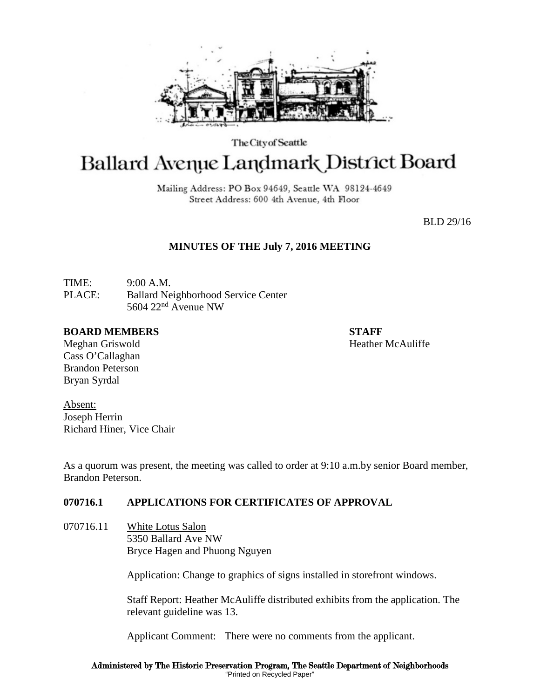

The City of Seattle

# **Ballard Avenue Landmark District Board**

Mailing Address: PO Box 94649, Seattle WA 98124-4649 Street Address: 600 4th Avenue, 4th Floor

BLD 29/16

### **MINUTES OF THE July 7, 2016 MEETING**

TIME: 9:00 A.M. PLACE: Ballard Neighborhood Service Center 5604 22nd Avenue NW

#### **BOARD MEMBERS STAFF**

Meghan Griswold **Heather McAuliffe** 

Cass O'Callaghan Brandon Peterson Bryan Syrdal

Absent: Joseph Herrin Richard Hiner, Vice Chair

As a quorum was present, the meeting was called to order at 9:10 a.m.by senior Board member, Brandon Peterson.

## **070716.1 APPLICATIONS FOR CERTIFICATES OF APPROVAL**

070716.11 White Lotus Salon 5350 Ballard Ave NW Bryce Hagen and Phuong Nguyen

Application: Change to graphics of signs installed in storefront windows.

Staff Report: Heather McAuliffe distributed exhibits from the application. The relevant guideline was 13.

Applicant Comment: There were no comments from the applicant.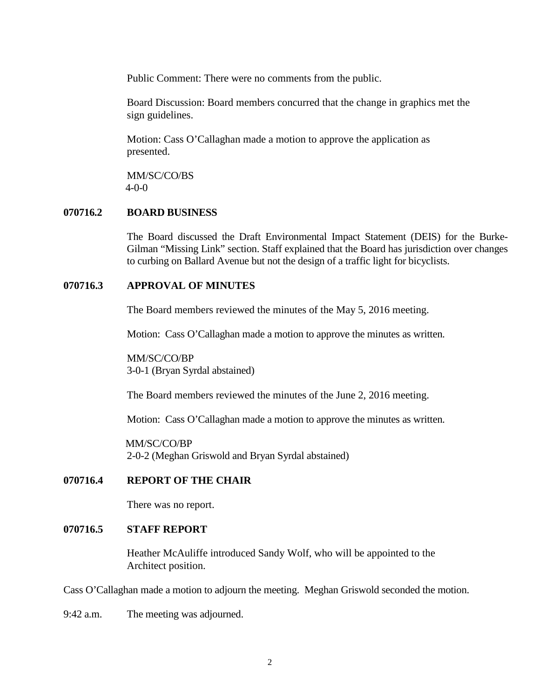Public Comment: There were no comments from the public.

Board Discussion: Board members concurred that the change in graphics met the sign guidelines.

Motion: Cass O'Callaghan made a motion to approve the application as presented.

MM/SC/CO/BS 4-0-0

#### **070716.2 BOARD BUSINESS**

The Board discussed the Draft Environmental Impact Statement (DEIS) for the Burke-Gilman "Missing Link" section. Staff explained that the Board has jurisdiction over changes to curbing on Ballard Avenue but not the design of a traffic light for bicyclists.

#### **070716.3 APPROVAL OF MINUTES**

The Board members reviewed the minutes of the May 5, 2016 meeting.

Motion: Cass O'Callaghan made a motion to approve the minutes as written.

MM/SC/CO/BP 3-0-1 (Bryan Syrdal abstained)

The Board members reviewed the minutes of the June 2, 2016 meeting.

Motion: Cass O'Callaghan made a motion to approve the minutes as written.

 MM/SC/CO/BP 2-0-2 (Meghan Griswold and Bryan Syrdal abstained)

#### **070716.4 REPORT OF THE CHAIR**

There was no report.

#### **070716.5 STAFF REPORT**

Heather McAuliffe introduced Sandy Wolf, who will be appointed to the Architect position.

Cass O'Callaghan made a motion to adjourn the meeting. Meghan Griswold seconded the motion.

9:42 a.m. The meeting was adjourned.